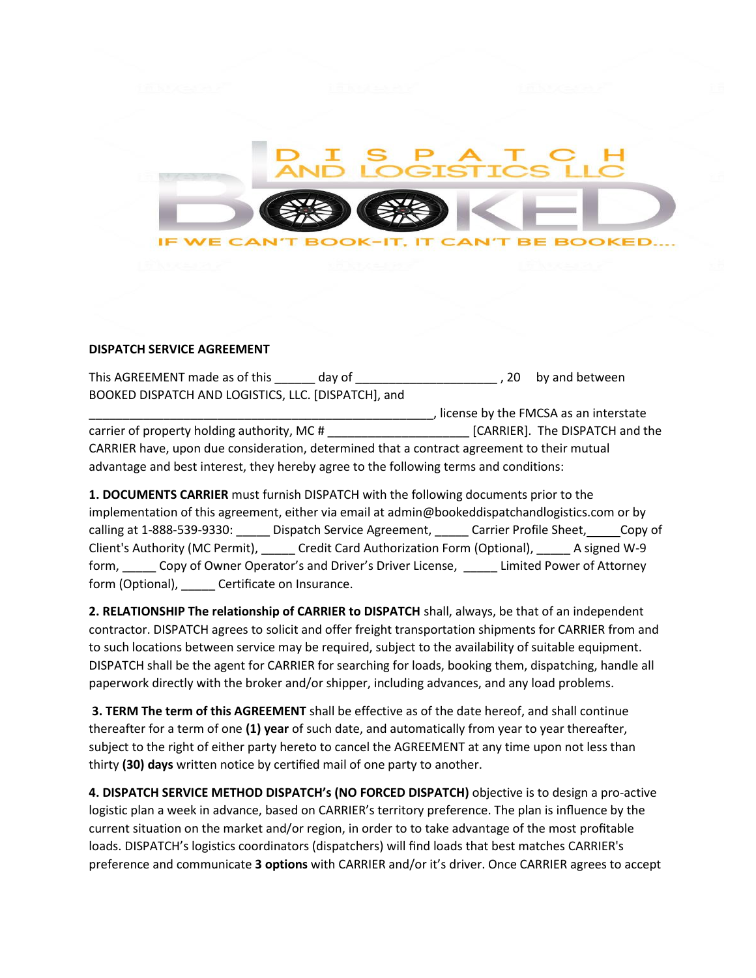

## **DISPATCH SERVICE AGREEMENT**

This AGREEMENT made as of this \_\_\_\_\_\_ day of \_\_\_\_\_\_\_\_\_\_\_\_\_\_\_\_\_\_\_\_\_\_\_\_\_, 20 by and between BOOKED DISPATCH AND LOGISTICS, LLC. [DISPATCH], and \_\_\_\_\_\_\_\_\_\_\_\_\_\_\_\_\_\_\_\_\_\_\_\_\_\_\_\_\_\_\_\_\_\_\_\_\_\_\_\_\_\_\_\_\_\_\_\_\_\_\_, license by the FMCSA as an interstate carrier of property holding authority, MC # \_\_\_\_\_\_\_\_\_\_\_\_\_\_\_\_\_\_\_\_\_ [CARRIER]. The DISPATCH and the CARRIER have, upon due consideration, determined that a contract agreement to their mutual

advantage and best interest, they hereby agree to the following terms and conditions:

**1. DOCUMENTS CARRIER** must furnish DISPATCH with the following documents prior to the implementation of this agreement, either via email at admin@bookeddispatchandlogistics.com or by calling at 1-888-539-9330: Dispatch Service Agreement, Carrier Profile Sheet, Copy of Client's Authority (MC Permit), \_\_\_\_\_ Credit Card Authorization Form (Optional), \_\_\_\_\_ A signed W-9 form, \_\_\_\_\_ Copy of Owner Operator's and Driver's Driver License, \_\_\_\_\_ Limited Power of Attorney form (Optional), \_\_\_\_\_ Certificate on Insurance.

**2. RELATIONSHIP The relationship of CARRIER to DISPATCH** shall, always, be that of an independent contractor. DISPATCH agrees to solicit and offer freight transportation shipments for CARRIER from and to such locations between service may be required, subject to the availability of suitable equipment. DISPATCH shall be the agent for CARRIER for searching for loads, booking them, dispatching, handle all paperwork directly with the broker and/or shipper, including advances, and any load problems.

**3. TERM The term of this AGREEMENT** shall be effective as of the date hereof, and shall continue thereafter for a term of one **(1) year** of such date, and automatically from year to year thereafter, subject to the right of either party hereto to cancel the AGREEMENT at any time upon not less than thirty **(30) days** written notice by certified mail of one party to another.

**4. DISPATCH SERVICE METHOD DISPATCH's (NO FORCED DISPATCH)** objective is to design a pro-active logistic plan a week in advance, based on CARRIER's territory preference. The plan is influence by the current situation on the market and/or region, in order to to take advantage of the most profitable loads. DISPATCH's logistics coordinators (dispatchers) will find loads that best matches CARRIER's preference and communicate **3 options** with CARRIER and/or it's driver. Once CARRIER agrees to accept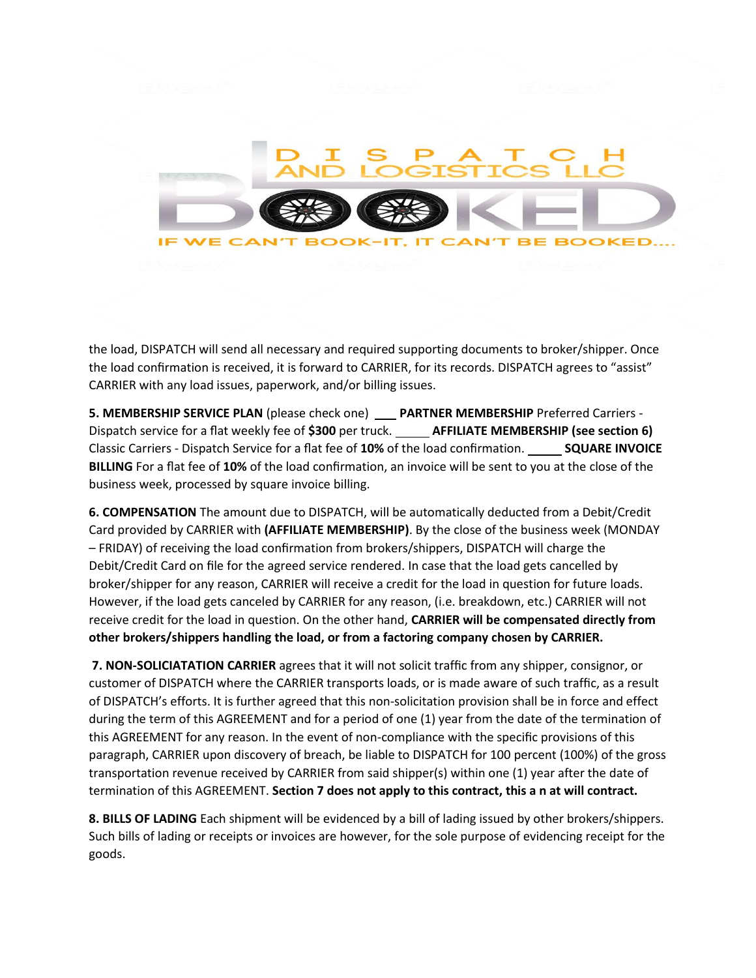

the load, DISPATCH will send all necessary and required supporting documents to broker/shipper. Once the load confirmation is received, it is forward to CARRIER, for its records. DISPATCH agrees to "assist" CARRIER with any load issues, paperwork, and/or billing issues.

**5. MEMBERSHIP SERVICE PLAN** (please check one) **PARTNER MEMBERSHIP** Preferred Carriers - Dispatch service for a flat weekly fee of **\$300** per truck. **AFFILIATE MEMBERSHIP (see section 6)** Classic Carriers - Dispatch Service for a flat fee of **10%** of the load confirmation. **SQUARE INVOICE BILLING** For a flat fee of **10%** of the load confirmation, an invoice will be sent to you at the close of the business week, processed by square invoice billing.

**6. COMPENSATION** The amount due to DISPATCH, will be automatically deducted from a Debit/Credit Card provided by CARRIER with **(AFFILIATE MEMBERSHIP)**. By the close of the business week (MONDAY – FRIDAY) of receiving the load confirmation from brokers/shippers, DISPATCH will charge the Debit/Credit Card on file for the agreed service rendered. In case that the load gets cancelled by broker/shipper for any reason, CARRIER will receive a credit for the load in question for future loads. However, if the load gets canceled by CARRIER for any reason, (i.e. breakdown, etc.) CARRIER will not receive credit for the load in question. On the other hand, **CARRIER will be compensated directly from other brokers/shippers handling the load, or from a factoring company chosen by CARRIER.**

**7. NON-SOLICIATATION CARRIER** agrees that it will not solicit traffic from any shipper, consignor, or customer of DISPATCH where the CARRIER transports loads, or is made aware of such traffic, as a result of DISPATCH's efforts. It is further agreed that this non-solicitation provision shall be in force and effect during the term of this AGREEMENT and for a period of one (1) year from the date of the termination of this AGREEMENT for any reason. In the event of non-compliance with the specific provisions of this paragraph, CARRIER upon discovery of breach, be liable to DISPATCH for 100 percent (100%) of the gross transportation revenue received by CARRIER from said shipper(s) within one (1) year after the date of termination of this AGREEMENT. **Section 7 does not apply to this contract, this a n at will contract.**

**8. BILLS OF LADING** Each shipment will be evidenced by a bill of lading issued by other brokers/shippers. Such bills of lading or receipts or invoices are however, for the sole purpose of evidencing receipt for the goods.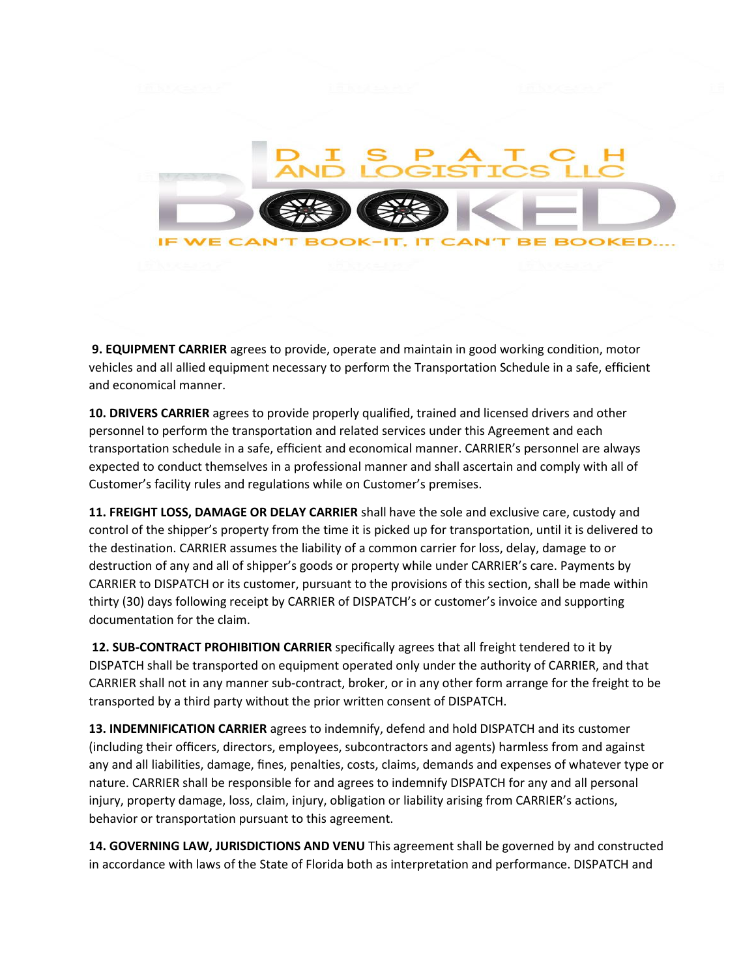

**9. EQUIPMENT CARRIER** agrees to provide, operate and maintain in good working condition, motor vehicles and all allied equipment necessary to perform the Transportation Schedule in a safe, efficient and economical manner.

**10. DRIVERS CARRIER** agrees to provide properly qualified, trained and licensed drivers and other personnel to perform the transportation and related services under this Agreement and each transportation schedule in a safe, efficient and economical manner. CARRIER's personnel are always expected to conduct themselves in a professional manner and shall ascertain and comply with all of Customer's facility rules and regulations while on Customer's premises.

**11. FREIGHT LOSS, DAMAGE OR DELAY CARRIER** shall have the sole and exclusive care, custody and control of the shipper's property from the time it is picked up for transportation, until it is delivered to the destination. CARRIER assumes the liability of a common carrier for loss, delay, damage to or destruction of any and all of shipper's goods or property while under CARRIER's care. Payments by CARRIER to DISPATCH or its customer, pursuant to the provisions of this section, shall be made within thirty (30) days following receipt by CARRIER of DISPATCH's or customer's invoice and supporting documentation for the claim.

**12. SUB-CONTRACT PROHIBITION CARRIER** specifically agrees that all freight tendered to it by DISPATCH shall be transported on equipment operated only under the authority of CARRIER, and that CARRIER shall not in any manner sub-contract, broker, or in any other form arrange for the freight to be transported by a third party without the prior written consent of DISPATCH.

**13. INDEMNIFICATION CARRIER** agrees to indemnify, defend and hold DISPATCH and its customer (including their officers, directors, employees, subcontractors and agents) harmless from and against any and all liabilities, damage, fines, penalties, costs, claims, demands and expenses of whatever type or nature. CARRIER shall be responsible for and agrees to indemnify DISPATCH for any and all personal injury, property damage, loss, claim, injury, obligation or liability arising from CARRIER's actions, behavior or transportation pursuant to this agreement.

**14. GOVERNING LAW, JURISDICTIONS AND VENU** This agreement shall be governed by and constructed in accordance with laws of the State of Florida both as interpretation and performance. DISPATCH and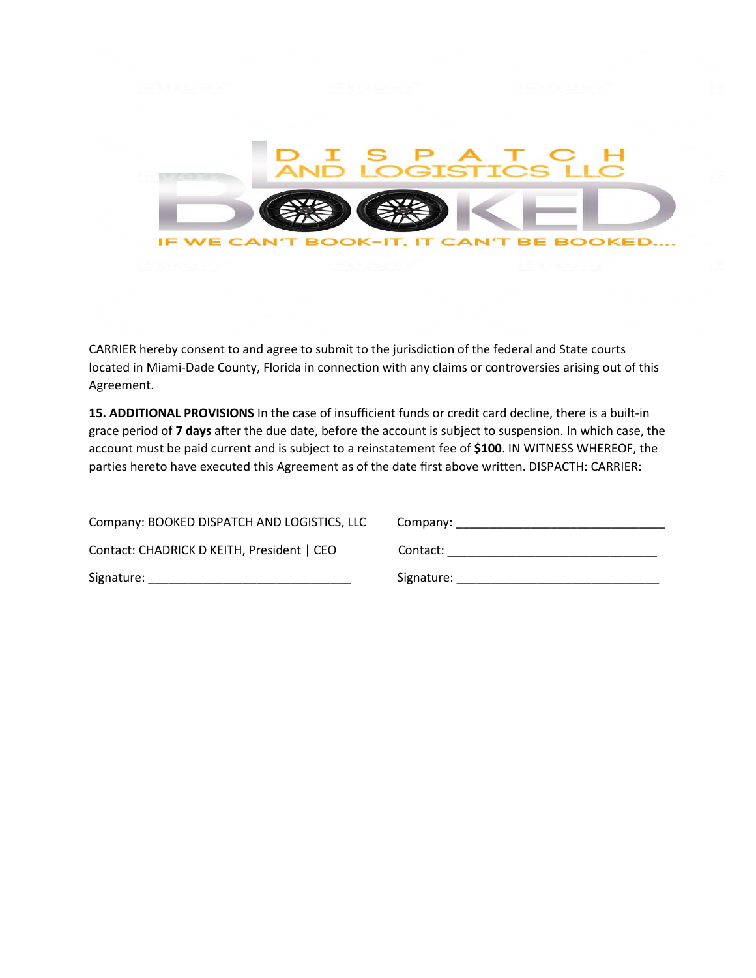

CARRIER hereby consent to and agree to submit to the jurisdiction of the federal and State courts located in Miami-Dade County, Florida in connection with any claims or controversies arising out of this Agreement.

**15. ADDITIONAL PROVISIONS** In the case of insufficient funds or credit card decline, there is a built-in grace period of **7 days** after the due date, before the account is subject to suspension. In which case, the account must be paid current and is subject to a reinstatement fee of **\$100**. IN WITNESS WHEREOF, the parties hereto have executed this Agreement as of the date first above written. DISPACTH: CARRIER:

| Company: BOOKED DISPATCH AND LOGISTICS, LLC | Company:   |
|---------------------------------------------|------------|
| Contact: CHADRICK D KEITH, President   CEO  | Contact:   |
| Signature:                                  | Signature: |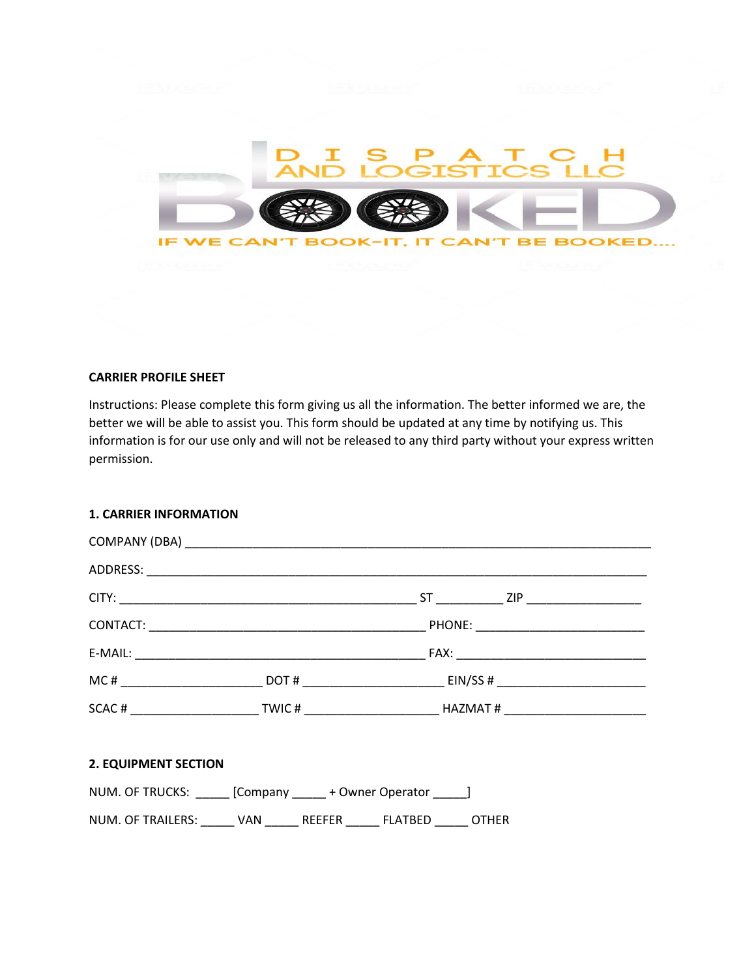

### **CARRIER PROFILE SHEET**

Instructions: Please complete this form giving us all the information. The better informed we are, the better we will be able to assist you. This form should be updated at any time by notifying us. This information is for our use only and will not be released to any third party without your express written permission.

## **1. CARRIER INFORMATION**

## **2. EQUIPMENT SECTION**

| NUM. OF TRUCKS:   |     |               | [Company + Owner Operator |              |
|-------------------|-----|---------------|---------------------------|--------------|
| NUM. OF TRAILERS: | VAN | <b>REFFER</b> | FLATBED                   | <b>OTHER</b> |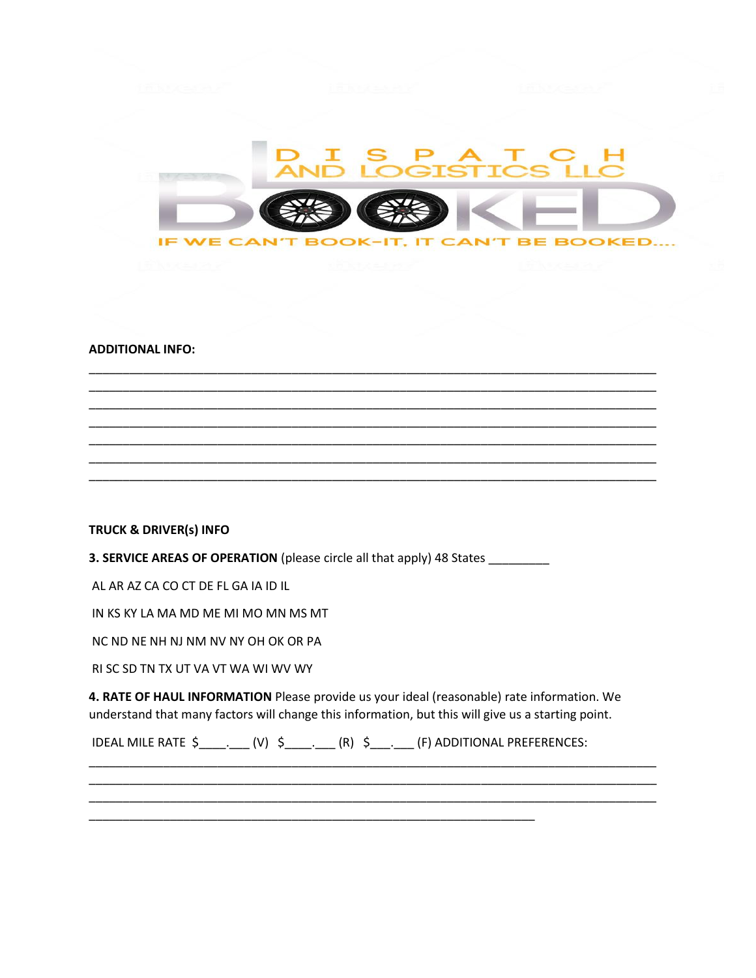

#### **ADDITIONAL INFO:**

# **TRUCK & DRIVER(s) INFO**

3. SERVICE AREAS OF OPERATION (please circle all that apply) 48 States

AL AR AZ CA CO CT DE FL GA IA ID IL

IN KS KY LA MA MD ME MI MO MN MS MT

NC ND NE NH NJ NM NV NY OH OK OR PA

RI SC SD TN TX UT VA VT WA WI WV WY

4. RATE OF HAUL INFORMATION Please provide us your ideal (reasonable) rate information. We understand that many factors will change this information, but this will give us a starting point.

IDEAL MILE RATE \$\_\_\_\_\_\_\_\_\_\_\_(V) \$\_\_\_\_\_\_\_\_\_\_(R) \$\_\_\_\_\_\_\_\_\_(F) ADDITIONAL PREFERENCES: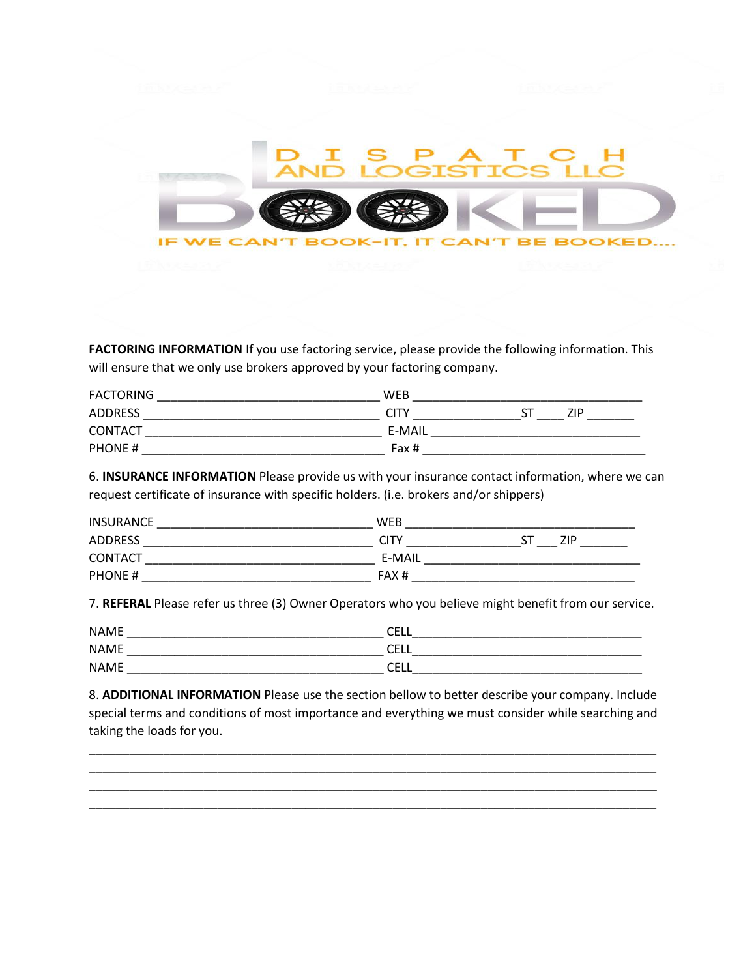

**FACTORING INFORMATION** If you use factoring service, please provide the following information. This will ensure that we only use brokers approved by your factoring company.

| <b>FACTORING</b> | WEB    |      |
|------------------|--------|------|
| <b>ADDRESS</b>   | CITY   | 71 D |
| <b>CONTACT</b>   | E-MAIL |      |
| PHONE#           | Fax #  |      |

6. **INSURANCE INFORMATION** Please provide us with your insurance contact information, where we can request certificate of insurance with specific holders. (i.e. brokers and/or shippers)

| <b>INSURANCE</b> | WEB         |
|------------------|-------------|
| ADDRESS          | CITY<br>7ID |
| <b>CONTACT</b>   | E-MAIL      |
| <b>PHONE#</b>    | FAX#        |

7. **REFERAL** Please refer us three (3) Owner Operators who you believe might benefit from our service.

| <b>NAME</b> | ~-<br>----         |
|-------------|--------------------|
| <b>NAME</b> | $\sim$ $-$<br>◡└└└ |
| <b>NAME</b> | ~-<br>◡└└          |

8. **ADDITIONAL INFORMATION** Please use the section bellow to better describe your company. Include special terms and conditions of most importance and everything we must consider while searching and taking the loads for you.

\_\_\_\_\_\_\_\_\_\_\_\_\_\_\_\_\_\_\_\_\_\_\_\_\_\_\_\_\_\_\_\_\_\_\_\_\_\_\_\_\_\_\_\_\_\_\_\_\_\_\_\_\_\_\_\_\_\_\_\_\_\_\_\_\_\_\_\_\_\_\_\_\_\_\_\_\_\_\_\_\_\_\_\_ \_\_\_\_\_\_\_\_\_\_\_\_\_\_\_\_\_\_\_\_\_\_\_\_\_\_\_\_\_\_\_\_\_\_\_\_\_\_\_\_\_\_\_\_\_\_\_\_\_\_\_\_\_\_\_\_\_\_\_\_\_\_\_\_\_\_\_\_\_\_\_\_\_\_\_\_\_\_\_\_\_\_\_\_ \_\_\_\_\_\_\_\_\_\_\_\_\_\_\_\_\_\_\_\_\_\_\_\_\_\_\_\_\_\_\_\_\_\_\_\_\_\_\_\_\_\_\_\_\_\_\_\_\_\_\_\_\_\_\_\_\_\_\_\_\_\_\_\_\_\_\_\_\_\_\_\_\_\_\_\_\_\_\_\_\_\_\_\_ \_\_\_\_\_\_\_\_\_\_\_\_\_\_\_\_\_\_\_\_\_\_\_\_\_\_\_\_\_\_\_\_\_\_\_\_\_\_\_\_\_\_\_\_\_\_\_\_\_\_\_\_\_\_\_\_\_\_\_\_\_\_\_\_\_\_\_\_\_\_\_\_\_\_\_\_\_\_\_\_\_\_\_\_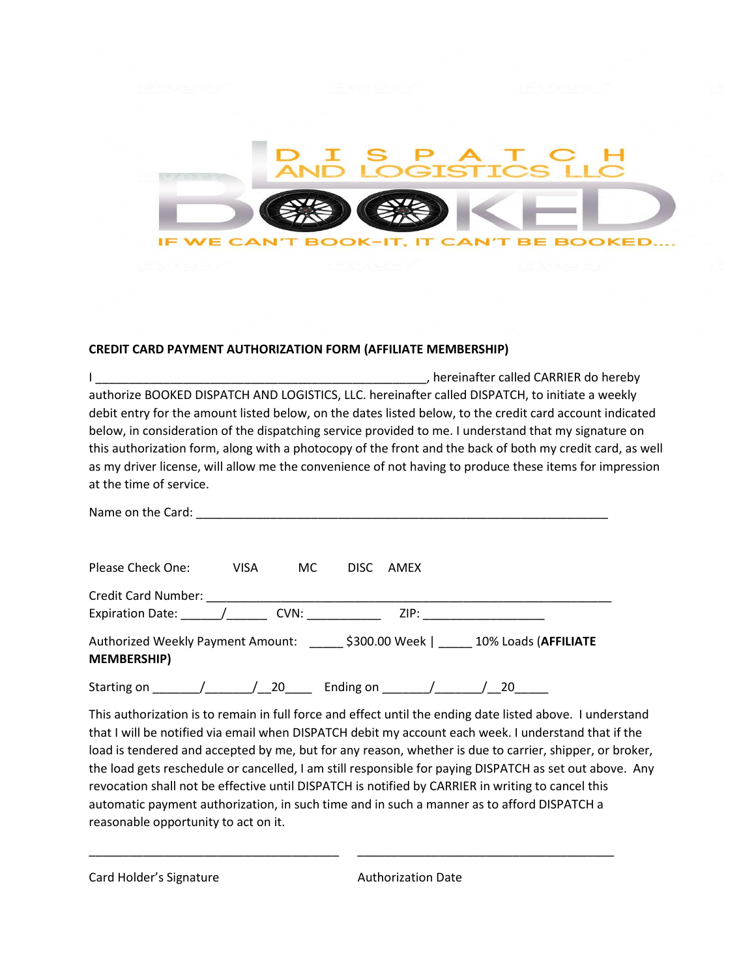

## **CREDIT CARD PAYMENT AUTHORIZATION FORM (AFFILIATE MEMBERSHIP)**

| hereinafter called CARRIER do hereby                                                                      |
|-----------------------------------------------------------------------------------------------------------|
| authorize BOOKED DISPATCH AND LOGISTICS, LLC. hereinafter called DISPATCH, to initiate a weekly           |
| debit entry for the amount listed below, on the dates listed below, to the credit card account indicated  |
| below, in consideration of the dispatching service provided to me. I understand that my signature on      |
| this authorization form, along with a photocopy of the front and the back of both my credit card, as well |
| as my driver license, will allow me the convenience of not having to produce these items for impression   |
| at the time of service.                                                                                   |
|                                                                                                           |

| Please Check One:                                                                                                                                                                                                                                          | <b>VISA</b> | MC. | DISC. | AMEX |                                                                                                                                                                                                                                |
|------------------------------------------------------------------------------------------------------------------------------------------------------------------------------------------------------------------------------------------------------------|-------------|-----|-------|------|--------------------------------------------------------------------------------------------------------------------------------------------------------------------------------------------------------------------------------|
| Credit Card Number: Note that the control of the control of the control of the control of the control of the control of the control of the control of the control of the control of the control of the control of the control<br>Expiration Date: The CVN: |             |     |       |      | ZIP: A contract the contract of the contract of the contract of the contract of the contract of the contract of the contract of the contract of the contract of the contract of the contract of the contract of the contract o |
| Authorized Weekly Payment Amount: \$300.00 Week   10% Loads (AFFILIATE<br><b>MEMBERSHIP)</b>                                                                                                                                                               |             |     |       |      |                                                                                                                                                                                                                                |

Starting on  $\frac{1}{20}$   $\frac{20}{20}$  Ending on  $\frac{1}{20}$   $\frac{1}{20}$ 

This authorization is to remain in full force and effect until the ending date listed above. I understand that I will be notified via email when DISPATCH debit my account each week. I understand that if the load is tendered and accepted by me, but for any reason, whether is due to carrier, shipper, or broker, the load gets reschedule or cancelled, I am still responsible for paying DISPATCH as set out above. Any revocation shall not be effective until DISPATCH is notified by CARRIER in writing to cancel this automatic payment authorization, in such time and in such a manner as to afford DISPATCH a reasonable opportunity to act on it.

\_\_\_\_\_\_\_\_\_\_\_\_\_\_\_\_\_\_\_\_\_\_\_\_\_\_\_\_\_\_\_\_\_\_\_\_\_ \_\_\_\_\_\_\_\_\_\_\_\_\_\_\_\_\_\_\_\_\_\_\_\_\_\_\_\_\_\_\_\_\_\_\_\_\_\_

Card Holder's Signature **Authorization Date**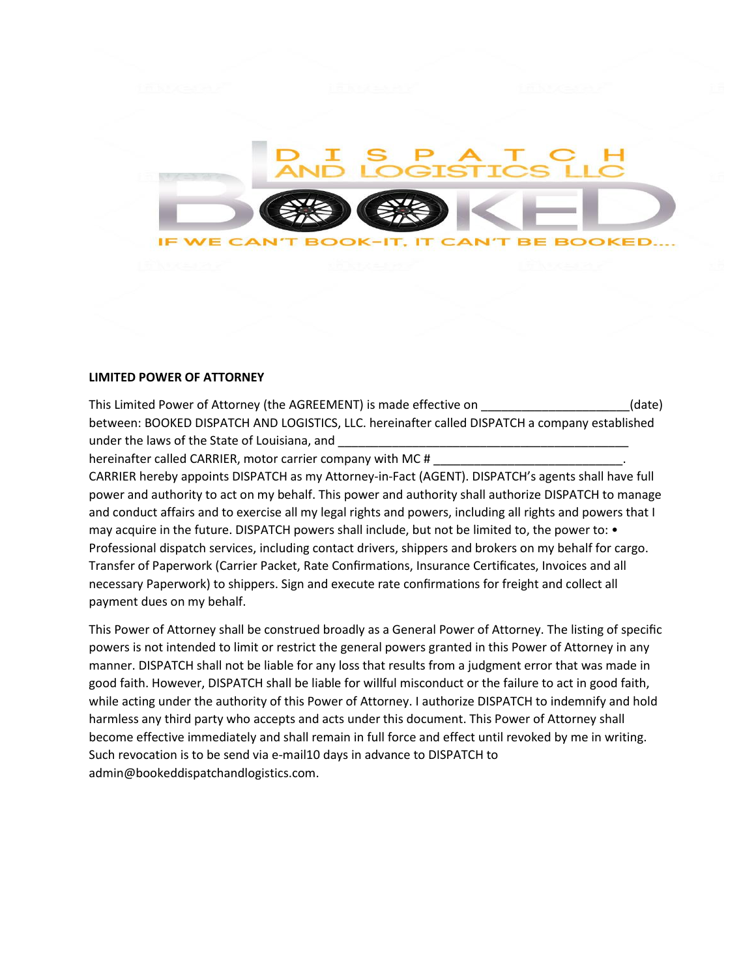

#### **LIMITED POWER OF ATTORNEY**

This Limited Power of Attorney (the AGREEMENT) is made effective on \_\_\_\_\_\_\_\_\_\_\_\_\_\_\_\_\_\_\_\_(date) between: BOOKED DISPATCH AND LOGISTICS, LLC. hereinafter called DISPATCH a company established under the laws of the State of Louisiana, and \_\_\_\_\_\_\_\_\_\_\_\_\_\_\_\_\_\_\_\_\_\_\_\_\_\_\_\_\_\_\_\_\_\_

hereinafter called CARRIER, motor carrier company with MC #

CARRIER hereby appoints DISPATCH as my Attorney-in-Fact (AGENT). DISPATCH's agents shall have full power and authority to act on my behalf. This power and authority shall authorize DISPATCH to manage and conduct affairs and to exercise all my legal rights and powers, including all rights and powers that I may acquire in the future. DISPATCH powers shall include, but not be limited to, the power to: • Professional dispatch services, including contact drivers, shippers and brokers on my behalf for cargo. Transfer of Paperwork (Carrier Packet, Rate Confirmations, Insurance Certificates, Invoices and all necessary Paperwork) to shippers. Sign and execute rate confirmations for freight and collect all payment dues on my behalf.

This Power of Attorney shall be construed broadly as a General Power of Attorney. The listing of specific powers is not intended to limit or restrict the general powers granted in this Power of Attorney in any manner. DISPATCH shall not be liable for any loss that results from a judgment error that was made in good faith. However, DISPATCH shall be liable for willful misconduct or the failure to act in good faith, while acting under the authority of this Power of Attorney. I authorize DISPATCH to indemnify and hold harmless any third party who accepts and acts under this document. This Power of Attorney shall become effective immediately and shall remain in full force and effect until revoked by me in writing. Such revocation is to be send via e-mail10 days in advance to DISPATCH to admin@bookeddispatchandlogistics.com.